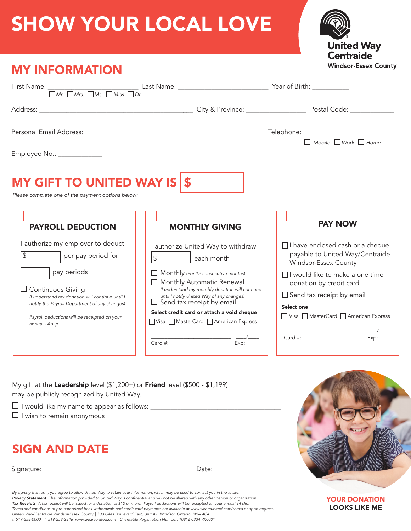## SHOW YOUR LOCAL LOVE



| <b>MY INFORMATION</b>                                                                                                                                                                                                                                                                                                                                             |                                                                                                                                                                                                                                                                                                                                                                                          |                         | <b>Windsor-Essex Count</b>                                                                                                                                                                                                                                                      |  |
|-------------------------------------------------------------------------------------------------------------------------------------------------------------------------------------------------------------------------------------------------------------------------------------------------------------------------------------------------------------------|------------------------------------------------------------------------------------------------------------------------------------------------------------------------------------------------------------------------------------------------------------------------------------------------------------------------------------------------------------------------------------------|-------------------------|---------------------------------------------------------------------------------------------------------------------------------------------------------------------------------------------------------------------------------------------------------------------------------|--|
| First Name: $\frac{1}{\Box M r}$ $\frac{1}{\Box M r}$ , $\frac{1}{\Box M r}$ , $\frac{1}{\Box M s}$ , $\frac{1}{\Box M s}$ , $\frac{1}{\Box b}$ , $\frac{1}{\Box b}$ , $\frac{1}{\Box b}$ , $\frac{1}{\Box b}$ , $\frac{1}{\Box b}$ , $\frac{1}{\Box b}$ , $\frac{1}{\Box b}$ , $\frac{1}{\Box b}$ , $\frac{1}{\Box b}$ , $\frac{1}{\Box b}$ , $\frac{1}{\Box b}$ |                                                                                                                                                                                                                                                                                                                                                                                          |                         |                                                                                                                                                                                                                                                                                 |  |
|                                                                                                                                                                                                                                                                                                                                                                   |                                                                                                                                                                                                                                                                                                                                                                                          |                         |                                                                                                                                                                                                                                                                                 |  |
| Employee No.: _____________                                                                                                                                                                                                                                                                                                                                       |                                                                                                                                                                                                                                                                                                                                                                                          |                         | $\Box$ Mobile $\Box$ Work $\Box$ Home                                                                                                                                                                                                                                           |  |
| MY GIFT TO UNITED WAY IS \$<br>Please complete one of the payment options below:                                                                                                                                                                                                                                                                                  |                                                                                                                                                                                                                                                                                                                                                                                          |                         | <b>PAY NOW</b>                                                                                                                                                                                                                                                                  |  |
| <b>PAYROLL DEDUCTION</b><br>I authorize my employer to deduct<br>$\overline{\mathcal{L}}$<br>per pay period for<br>pay periods<br>$\Box$ Continuous Giving<br>(I understand my donation will continue until I<br>notify the Payroll Department of any changes)<br>Payroll deductions will be receipted on your<br>annual T4 slip                                  | <b>MONTHLY GIVING</b><br>I authorize United Way to withdraw<br>\$ each month<br>$\Box$ Monthly (For 12 consecutive months)<br>Monthly Automatic Renewal<br>(I understand my monthly donation will continue<br>until I notify United Way of any changes)<br>$\Box$ Send tax receipt by email<br>Select credit card or attach a void cheque<br>Visa MasterCard American Express<br>Card #: | $\frac{1}{\text{Exp:}}$ | □ I have enclosed cash or a cheque<br>payable to United Way/Centraide<br>Windsor-Essex County<br>□ I would like to make a one time<br>donation by credit card<br>Send tax receipt by email<br>Select one<br>Visa MasterCard American Express<br>$Card$ #:<br>$\overline{Exp}$ : |  |

My gift at the Leadership level (\$1,200+) or Friend level (\$500 - \$1,199) may be publicly recognized by United Way.

- I would like my name to appear as follows: \_\_\_\_\_\_\_\_\_\_\_\_\_\_\_\_\_\_\_\_\_\_\_\_\_\_\_\_\_\_\_\_\_\_\_\_\_\_\_
- $\Box$  I wish to remain anonymous

## SIGN AND DATE

Signature: \_\_\_\_\_\_\_\_\_\_\_\_\_\_\_\_\_\_\_\_\_\_\_\_\_\_\_\_\_\_\_\_\_\_\_\_\_\_\_\_\_\_\_\_\_ Date: \_\_\_\_\_\_\_\_\_\_\_\_

By signing this form, you agree to allow United Way to retain your information, which may be used to contact you in the future.<br>**Privacy Statement:** The information provided to United Way is confidential and will not be sh *Tax Receipts: A tax receipt will be issued for a donation of \$10 or more. Payroll deductions will be receipted on your annual T4 slip.*  Terms and conditions of pre-authorized bank withdrawals and credit card payments are available at www.weareunited.com/terms or upon request.<br>United Way/Centraide Windsor-Essex County | 300 Giles Boulevard East, Unit A1, Wi *t. 519-258-0000 | f. 519-258-2346 www.weareunited.com | Charitable Registration Number: 10816 0334 RR0001*



YOUR DONATION LOOKS LIKE ME